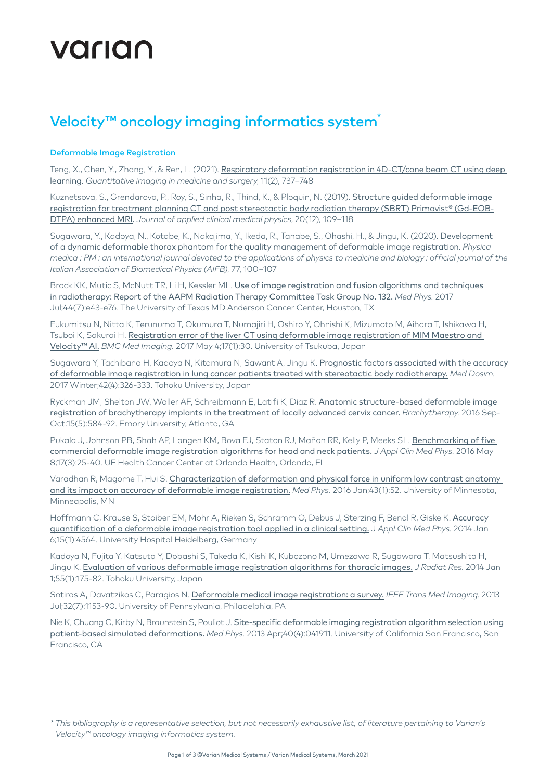# varian

## Velocity<sup>™</sup> oncology imaging informatics system<sup>\*</sup>

### Deformable Image Registration

Teng, X., Chen, Y., Zhang, Y., & Ren, L. (2021). Respiratory deformation registration in 4D-CT/cone beam CT using deep [learning](https://pubmed.ncbi.nlm.nih.gov/33532273/). *Quantitative imaging in medicine and surgery*, 11(2), 737–748

Kuznetsova, S., Grendarova, P., Roy, S., Sinha, R., Thind, K., & Ploquin, N. (2019). Structure guided deformable image [registration for treatment planning CT and post stereotactic body radiation therapy \(SBRT\) Primovist® \(Gd-EOB-](https://pubmed.ncbi.nlm.nih.gov/31755658/)[DTPA\) enhanced MRI](https://pubmed.ncbi.nlm.nih.gov/31755658/). *Journal of applied clinical medical physics*, 20(12), 109–118

Sugawara, Y., Kadoya, N., Kotabe, K., Nakajima, Y., Ikeda, R., Tanabe, S., Ohashi, H., & Jingu, K. (2020). Development [of a dynamic deformable thorax phantom for the quality management of deformable image registration](https://pubmed.ncbi.nlm.nih.gov/32823209/). *Physica medica : PM : an international journal devoted to the applications of physics to medicine and biology : official journal of the Italian Association of Biomedical Physics (AIFB)*, 77, 100–107

Brock KK, Mutic S, McNutt TR, Li H, Kessler ML. Use of image registration and fusion algorithms and techniques [in radiotherapy: Report of the AAPM Radiation Therapy Committee Task Group No. 132.](https://www.ncbi.nlm.nih.gov/pubmed/28376237) *Med Phys.* 2017 Jul;44(7):e43-e76. The University of Texas MD Anderson Cancer Center, Houston, TX

Fukumitsu N, Nitta K, Terunuma T, Okumura T, Numajiri H, Oshiro Y, Ohnishi K, Mizumoto M, Aihara T, Ishikawa H, Tsuboi K, Sakurai H. [Registration error of the liver CT using deformable image registration of MIM Maestro and](https://www.ncbi.nlm.nih.gov/pubmed/28472925)  [Velocity™ AI.](https://www.ncbi.nlm.nih.gov/pubmed/28472925) *BMC Med Imaging.* 2017 May 4;17(1):30. University of Tsukuba, Japan

Sugawara Y, Tachibana H, Kadoya N, Kitamura N, Sawant A, Jingu K. Prognostic factors associated with the accuracy [of deformable image registration in lung cancer patients treated with stereotactic body radiotherapy.](https://www.ncbi.nlm.nih.gov/pubmed/28802976) *Med Dosim.*  2017 Winter;42(4):326-333. Tohoku University, Japan

Ryckman JM, Shelton JW, Waller AF, Schreibmann E, Latifi K, Diaz R. [Anatomic structure-based deformable image](https://www.ncbi.nlm.nih.gov/pubmed/27263057)  [registration of brachytherapy implants in the treatment of locally advanced cervix cancer.](https://www.ncbi.nlm.nih.gov/pubmed/27263057) *Brachytherapy.* 2016 Sep-Oct;15(5):584-92. Emory University, Atlanta, GA

Pukala J, Johnson PB, Shah AP, Langen KM, Bova FJ, Staton RJ, Mañon RR, Kelly P, Meeks SL. Benchmarking of five [commercial deformable image registration algorithms for head and neck patients.](https://www.ncbi.nlm.nih.gov/pubmed/27167256) *J Appl Clin Med Phys.* 2016 May 8;17(3):25-40. UF Health Cancer Center at Orlando Health, Orlando, FL

Varadhan R, Magome T, Hui S. Characterization of deformation and physical force in uniform low contrast anatomy [and its impact on accuracy of deformable image registration.](https://www.ncbi.nlm.nih.gov/pubmed/26745899) *Med Phys.* 2016 Jan;43(1):52. University of Minnesota, Minneapolis, MN

Hoffmann C, Krause S, Stoiber EM, Mohr A, Rieken S, Schramm O, Debus J, Sterzing F, Bendl R, Giske K. Accuracy [quantification of a deformable image registration tool applied in a clinical setting.](https://www.ncbi.nlm.nih.gov/pubmed/24423856) J *Appl Clin Med Phys.* 2014 Jan 6;15(1):4564. University Hospital Heidelberg, Germany

Kadoya N, Fujita Y, Katsuta Y, Dobashi S, Takeda K, Kishi K, Kubozono M, Umezawa R, Sugawara T, Matsushita H, Jingu K. [Evaluation of various deformable image registration algorithms for thoracic images.](https://www.ncbi.nlm.nih.gov/pubmed/23869025) *J Radiat Res.* 2014 Jan 1;55(1):175-82. Tohoku University, Japan

Sotiras A, Davatzikos C, Paragios N. [Deformable medical image registration: a survey.](https://www.ncbi.nlm.nih.gov/pubmed/23739795) *IEEE Trans Med Imaging.* 2013 Jul;32(7):1153-90. University of Pennsylvania, Philadelphia, PA

Nie K, Chuang C, Kirby N, Braunstein S, Pouliot J. Site-specific deformable imaging registration algorithm selection using [patient-based simulated deformations.](https://www.ncbi.nlm.nih.gov/pubmed/23556905) *Med Phys.* 2013 Apr;40(4):041911. University of California San Francisco, San Francisco, CA

*<sup>\*</sup> This bibliography is a representative selection, but not necessarily exhaustive list, of literature pertaining to Varian's Velocity™ oncology imaging informatics system.*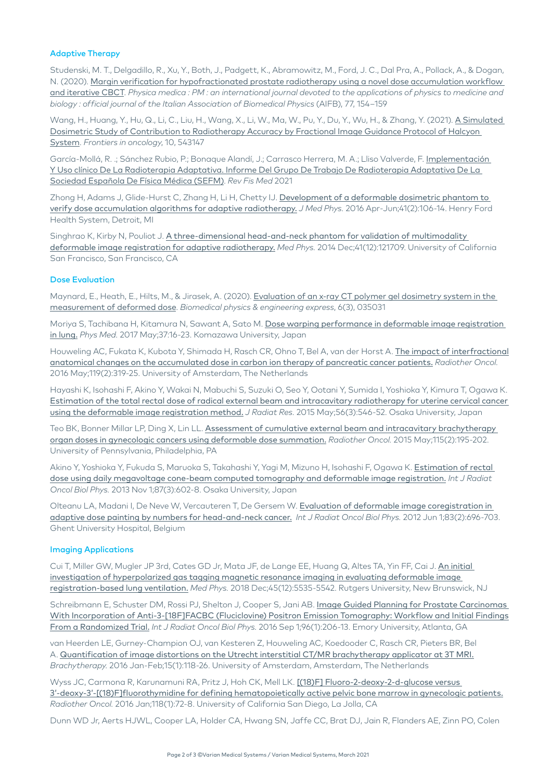#### Adaptive Therapy

Studenski, M. T., Delgadillo, R., Xu, Y., Both, J., Padgett, K., Abramowitz, M., Ford, J. C., Dal Pra, A., Pollack, A., & Dogan, N. (2020). [Margin verification for hypofractionated prostate radiotherapy using a novel dose accumulation workflow](https://pubmed.ncbi.nlm.nih.gov/32862068/)  [and iterative CBCT](https://pubmed.ncbi.nlm.nih.gov/32862068/). *Physica medica : PM : an international journal devoted to the applications of physics to medicine and biology : official journal of the Italian Association of Biomedical Physics* (AIFB), 77, 154–159

Wang, H., Huang, Y., Hu, Q., Li, C., Liu, H., Wang, X., Li, W., Ma, W., Pu, Y., Du, Y., Wu, H., & Zhang, Y. (2021). [A Simulated](https://pubmed.ncbi.nlm.nih.gov/33575205/)  [Dosimetric Study of Contribution to Radiotherapy Accuracy by Fractional Image Guidance Protocol of Halcyon](https://pubmed.ncbi.nlm.nih.gov/33575205/)  [System](https://pubmed.ncbi.nlm.nih.gov/33575205/). *Frontiers in oncology*, 10, 543147

García-Mollá, R. .; Sánchez Rubio, P.; Bonaque Alandí, J.; Carrasco Herrera, M. A.; Lliso Valverde, F. Implementación [Y Uso clínico De La Radioterapia Adaptativa. Informe Del Grupo De Trabajo De Radioterapia Adaptativa De La](https://www.revistadefisicamedica.es/index.php/rfm/article/view/344)  [Sociedad Española De Física Médica \(SEFM\)](https://www.revistadefisicamedica.es/index.php/rfm/article/view/344). *Rev Fis Med* 2021

Zhong H, Adams J, Glide-Hurst C, Zhang H, Li H, Chetty IJ. Development of a deformable dosimetric phantom to [verify dose accumulation algorithms for adaptive radiotherapy.](https://www.ncbi.nlm.nih.gov/pubmed/27217622) *J Med Phys.* 2016 Apr-Jun;41(2):106-14. Henry Ford Health System, Detroit, MI

Singhrao K, Kirby N, Pouliot J. A three-dimensional head-and-neck phantom for validation of multimodality [deformable image registration for adaptive radiotherapy.](https://www.ncbi.nlm.nih.gov/pubmed/25471956) *Med Phys.* 2014 Dec;41(12):121709. University of California San Francisco, San Francisco, CA

#### Dose Evaluation

Maynard, E., Heath, E., Hilts, M., & Jirasek, A. (2020). [Evaluation of an x-ray CT polymer gel dosimetry system in the](https://pubmed.ncbi.nlm.nih.gov/33438676/)  [measurement of deformed dose](https://pubmed.ncbi.nlm.nih.gov/33438676/). *Biomedical physics & engineering express*, 6(3), 035031

Moriya S, Tachibana H, Kitamura N, Sawant A, Sato M. [Dose warping performance in deformable image registration](https://www.ncbi.nlm.nih.gov/pubmed/28535910)  [in lung.](https://www.ncbi.nlm.nih.gov/pubmed/28535910) *Phys Med.* 2017 May;37:16-23. Komazawa University, Japan

Houweling AC, Fukata K, Kubota Y, Shimada H, Rasch CR, Ohno T, Bel A, van der Horst A. [The impact of interfractional](https://www.ncbi.nlm.nih.gov/pubmed/26993417) [anatomical changes on the accumulated dose in carbon ion therapy of pancreatic cancer patients.](https://www.ncbi.nlm.nih.gov/pubmed/26993417) *Radiother Oncol.* 2016 May;119(2):319-25. University of Amsterdam, The Netherlands

Hayashi K, Isohashi F, Akino Y, Wakai N, Mabuchi S, Suzuki O, Seo Y, Ootani Y, Sumida I, Yoshioka Y, Kimura T, Ogawa K. [Estimation of the total rectal dose of radical external beam and intracavitary radiotherapy for uterine cervical cancer](https://www.ncbi.nlm.nih.gov/pubmed/25678538)  [using the deformable image registration method.](https://www.ncbi.nlm.nih.gov/pubmed/25678538) *J Radiat Res.* 2015 May;56(3):546-52. Osaka University, Japan

Teo BK, Bonner Millar LP, Ding X, Lin LL. [Assessment of cumulative external beam and intracavitary brachytherapy](https://www.ncbi.nlm.nih.gov/pubmed/26002306)  [organ doses in gynecologic cancers using deformable dose summation.](https://www.ncbi.nlm.nih.gov/pubmed/26002306) *Radiother Oncol.* 2015 May;115(2):195-202. University of Pennsylvania, Philadelphia, PA

Akino Y, Yoshioka Y, Fukuda S, Maruoka S, Takahashi Y, Yagi M, Mizuno H, Isohashi F, Ogawa K. [Estimation of rectal](https://www.ncbi.nlm.nih.gov/pubmed/24074934)  [dose using daily megavoltage cone-beam computed tomography and deformable image registration.](https://www.ncbi.nlm.nih.gov/pubmed/24074934) *Int J Radiat Oncol Biol Phys.* 2013 Nov 1;87(3):602-8. Osaka University, Japan

Olteanu LA, Madani I, De Neve W, Vercauteren T, De Gersem W. [Evaluation of deformable image coregistration in](https://www.ncbi.nlm.nih.gov/pubmed/22153223)  [adaptive dose painting by numbers for head-and-neck cancer.](https://www.ncbi.nlm.nih.gov/pubmed/22153223) *Int J Radiat Oncol Biol Phys.* 2012 Jun 1;83(2):696-703. Ghent University Hospital, Belgium

#### Imaging Applications

Cui T, Miller GW, Mugler JP 3rd, Cates GD Jr, Mata JF, de Lange EE, Huang Q, Altes TA, Yin FF, Cai J. [An initial](https://www.ncbi.nlm.nih.gov/pubmed/30276819)  [investigation of hyperpolarized gas tagging magnetic resonance imaging in evaluating deformable image](https://www.ncbi.nlm.nih.gov/pubmed/30276819)  [registration-based lung ventilation.](https://www.ncbi.nlm.nih.gov/pubmed/30276819) *Med Phys.* 2018 Dec;45(12):5535-5542. Rutgers University, New Brunswick, NJ

Schreibmann E, Schuster DM, Rossi PJ, Shelton J, Cooper S, Jani AB. Image Guided Planning for Prostate Carcinomas With Incorporation of Anti-3-[18F]FACBC (Fluciclovine) Positron Emission Tomography: Workflow and Initial Findings [From a Randomized Trial.](https://www.ncbi.nlm.nih.gov/pubmed/27511856) *Int J Radiat Oncol Biol Phys.* 2016 Sep 1;96(1):206-13. Emory University, Atlanta, GA

van Heerden LE, Gurney-Champion OJ, van Kesteren Z, Houweling AC, Koedooder C, Rasch CR, Pieters BR, Bel A. [Quantification of image distortions on the Utrecht interstitial CT/MR brachytherapy applicator at 3T MRI.](https://www.ncbi.nlm.nih.gov/pubmed/26614236) *Brachytherapy.* 2016 Jan-Feb;15(1):118-26. University of Amsterdam, Amsterdam, The Netherlands

Wyss JC, Carmona R, Karunamuni RA, Pritz J, Hoh CK, Mell LK. [(18)F] Fluoro-2-deoxy-2-d-glucose versus [3'-deoxy-3'-\[\(18\)F\]fluorothymidine for defining hematopoietically active pelvic bone marrow in gynecologic patients.](https://www.ncbi.nlm.nih.gov/pubmed/26674924) *Radiother Oncol.* 2016 Jan;118(1):72-8. University of California San Diego, La Jolla, CA

Dunn WD Jr, Aerts HJWL, Cooper LA, Holder CA, Hwang SN, Jaffe CC, Brat DJ, Jain R, Flanders AE, Zinn PO, Colen